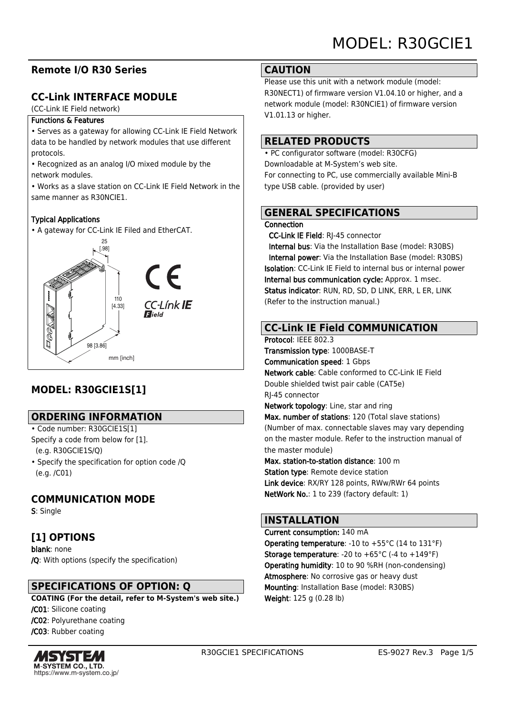# **Remote I/O R30 Series**

# **CC-Link INTERFACE MODULE**

(CC-Link IE Field network)

#### Functions & Features

• Serves as a gateway for allowing CC-Link IE Field Network data to be handled by network modules that use different protocols.

- Recognized as an analog I/O mixed module by the network modules.
- Works as a slave station on CC-Link IE Field Network in the same manner as R30NCIE1.

### Typical Applications

• A gateway for CC-Link IE Filed and EtherCAT.



# **MODEL: R30GCIE1S[1]**

## **ORDERING INFORMATION**

- Code number: R30GCIE1S[1]
- Specify a code from below for [1].
- (e.g. R30GCIE1S/Q)
- Specify the specification for option code /Q (e.g. /C01)

## **COMMUNICATION MODE**

S: Single

# **[1] OPTIONS**

blank: none /Q: With options (specify the specification)

# **SPECIFICATIONS OF OPTION: Q**

**COATING (For the detail, refer to M-System's web site.)** /C01: Silicone coating

/C02: Polyurethane coating /C03: Rubber coating



#### **CAUTION**

Please use this unit with a network module (model: R30NECT1) of firmware version V1.04.10 or higher, and a network module (model: R30NCIE1) of firmware version V1.01.13 or higher.

## **RELATED PRODUCTS**

• PC configurator software (model: R30CFG) Downloadable at M-System's web site. For connecting to PC, use commercially available Mini-B type USB cable. (provided by user)

## **GENERAL SPECIFICATIONS**

#### **Connection**

 CC-Link IE Field: RJ-45 connector Internal bus: Via the Installation Base (model: R30BS) Internal power: Via the Installation Base (model: R30BS)

Isolation: CC-Link IE Field to internal bus or internal power Internal bus communication cycle: Approx. 1 msec. Status indicator: RUN, RD, SD, D LINK, ERR, L ER, LINK (Refer to the instruction manual.)

## **CC-Link IE Field COMMUNICATION**

Protocol: IEEE 802.3 Transmission type: 1000BASE-T Communication speed: 1 Gbps Network cable: Cable conformed to CC-Link IE Field Double shielded twist pair cable (CAT5e) RJ-45 connector

Network topology: Line, star and ring Max. number of stations: 120 (Total slave stations) (Number of max. connectable slaves may vary depending on the master module. Refer to the instruction manual of the master module)

Max. station-to-station distance: 100 m Station type: Remote device station Link device: RX/RY 128 points, RWw/RWr 64 points NetWork No.: 1 to 239 (factory default: 1)

## **INSTALLATION**

Current consumption: 140 mA **Operating temperature: -10 to +55 °C (14 to 131 °F) Storage temperature:** -20 to  $+65^{\circ}$ C (-4 to  $+149^{\circ}$ F) Operating humidity: 10 to 90 %RH (non-condensing) Atmosphere: No corrosive gas or heavy dust Mounting: Installation Base (model: R30BS) Weight: 125 g (0.28 lb)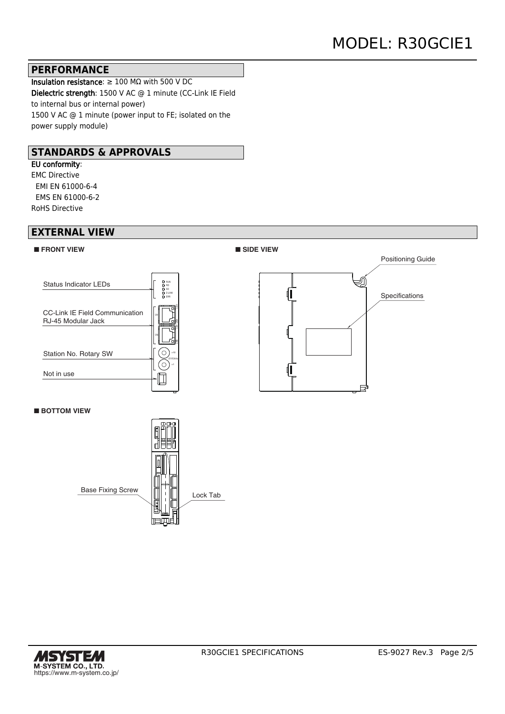### **PERFORMANCE**

Insulation resistance: ≥ 100 MΩ with 500 V DC Dielectric strength: 1500 V AC @ 1 minute (CC-Link IE Field to internal bus or internal power) 1500 V AC @ 1 minute (power input to FE; isolated on the power supply module)

## **STANDARDS & APPROVALS**

EU conformity: EMC Directive EMI EN 61000-6-4 EMS EN 61000-6-2 RoHS Directive

## **EXTERNAL VIEW**

#### ■ **FRONT VIEW**





#### ■**BOTTOM VIEW**



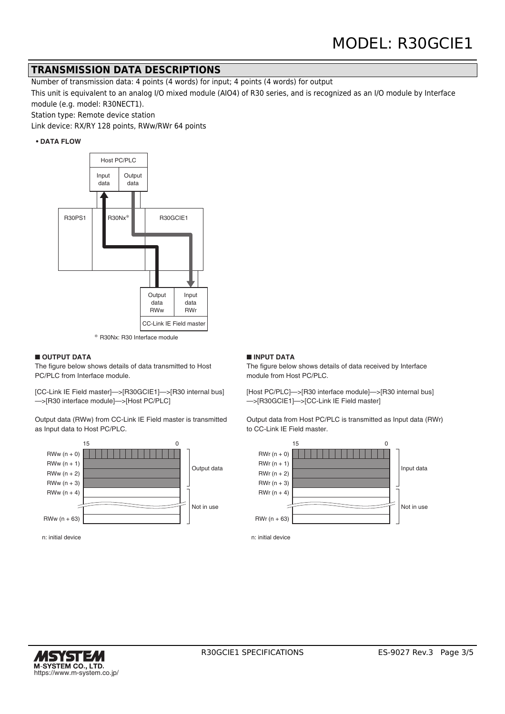#### **TRANSMISSION DATA DESCRIPTIONS**

Number of transmission data: 4 points (4 words) for input; 4 points (4 words) for output

This unit is equivalent to an analog I/O mixed module (AIO4) of R30 series, and is recognized as an I/O module by Interface module (e.g. model: R30NECT1).

Station type: Remote device station

Link device: RX/RY 128 points, RWw/RWr 64 points

#### **• DATA FLOW**



\* R30Nx: R30 Interface module

#### ■ **OUTPUT DATA**

The figure below shows details of data transmitted to Host PC/PLC from Interface module.

[CC-Link IE Field master]—>[R30GCIE1]—>[R30 internal bus] —>[R30 interface module]—>[Host PC/PLC]

Output data (RWw) from CC-Link IE Field master is transmitted as Input data to Host PC/PLC.



n: initial device

#### ■ **INPUT DATA**

The figure below shows details of data received by Interface module from Host PC/PLC.

[Host PC/PLC]—>[R30 interface module]—>[R30 internal bus] —>[R30GCIE1]—>[CC-Link IE Field master]

Output data from Host PC/PLC is transmitted as Input data (RWr) to CC-Link IE Field master.



n: initial device

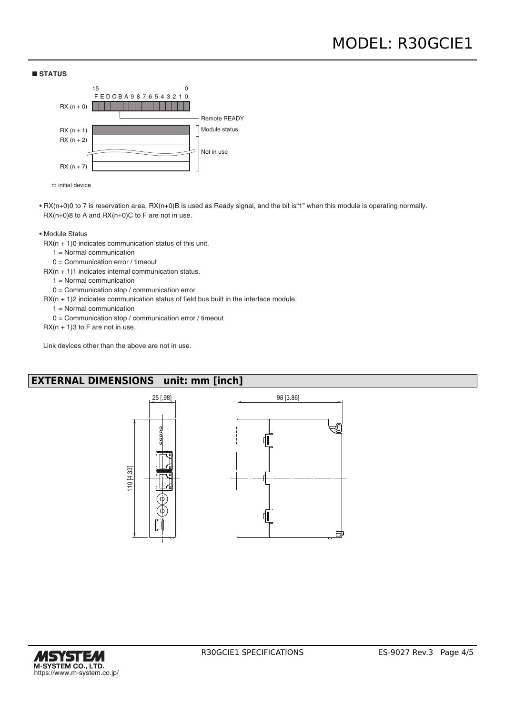



- RX(n+0)0 to 7 is reservation area, RX(n+0)B is used as Ready signal, and the bit is"1" when this module is operating normally. RX(n+0)8 to A and RX(n+0)C to F are not in use.
- Module Status
- $RX(n + 1)$ 0 indicates communication status of this unit.
	- 1 = Normal communication
	- 0 = Communication error / timeout
- $RX(n + 1)1$  indicates internal communication status.
	- 1 = Normal communication
	- 0 = Communication stop / communication error
- $RX(n + 1)$ 2 indicates communication status of field bus built in the interface module.
	- 1 = Normal communication
	- 0 = Communication stop / communication error / timeout

 $RX(n + 1)3$  to F are not in use.

Link devices other than the above are not in use.

## **EXTERNAL DIMENSIONS unit: mm [inch]**